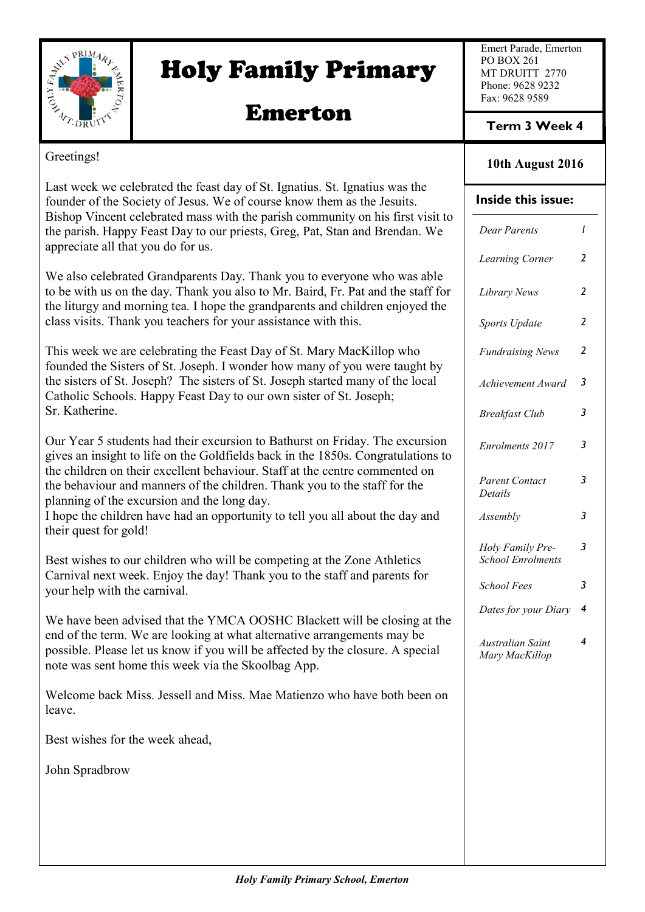

# Holy Family Primary

# Emerton

Emert Parade, Emerton PO BOX 261 MT DRUITT 2770 Phone: 9628 9232 Fax: 9628 9589

**Term 3 Week 4**

### Greetings!

Last week we celebrated the feast day of St. Ignatius. St. Ignatius was the founder of the Society of Jesus. We of course know them as the Jesuits. Bishop Vincent celebrated mass with the parish community on his first visit to the parish. Happy Feast Day to our priests, Greg, Pat, Stan and Brendan. We appreciate all that you do for us.

We also celebrated Grandparents Day. Thank you to everyone who was able to be with us on the day. Thank you also to Mr. Baird, Fr. Pat and the staff for the liturgy and morning tea. I hope the grandparents and children enjoyed the class visits. Thank you teachers for your assistance with this.

This week we are celebrating the Feast Day of St. Mary MacKillop who founded the Sisters of St. Joseph. I wonder how many of you were taught by the sisters of St. Joseph? The sisters of St. Joseph started many of the local Catholic Schools. Happy Feast Day to our own sister of St. Joseph; Sr. Katherine.

Our Year 5 students had their excursion to Bathurst on Friday. The excursion gives an insight to life on the Goldfields back in the 1850s. Congratulations to the children on their excellent behaviour. Staff at the centre commented on the behaviour and manners of the children. Thank you to the staff for the planning of the excursion and the long day.

I hope the children have had an opportunity to tell you all about the day and their quest for gold!

Best wishes to our children who will be competing at the Zone Athletics Carnival next week. Enjoy the day! Thank you to the staff and parents for your help with the carnival.

We have been advised that the YMCA OOSHC Blackett will be closing at the end of the term. We are looking at what alternative arrangements may be possible. Please let us know if you will be affected by the closure. A special note was sent home this week via the Skoolbag App.

Welcome back Miss. Jessell and Miss. Mae Matienzo who have both been on leave.

Best wishes for the week ahead,

John Spradbrow

### **10th August 2016**

### **Inside this issue:**

| Dear Parents                                 | ı              |
|----------------------------------------------|----------------|
| <b>Learning Corner</b>                       | 2              |
| Library News                                 | 2              |
| <b>Sports Update</b>                         | $\overline{2}$ |
| <b>Fundraising News</b>                      | $\overline{c}$ |
| Achievement Award                            | 3              |
| <b>Breakfast Club</b>                        | 3              |
| <b>Enrolments 2017</b>                       | 3              |
| <b>Parent Contact</b><br>Details             | 3              |
| Assembly                                     | 3              |
| Holy Family Pre-<br><b>School Enrolments</b> | 3              |
| <b>School Fees</b>                           | 3              |
| Dates for your Diary                         | 4              |
| Australian Saint<br>Mary MacKillop           | 4              |
|                                              |                |
|                                              |                |
|                                              |                |
|                                              |                |
|                                              |                |
|                                              |                |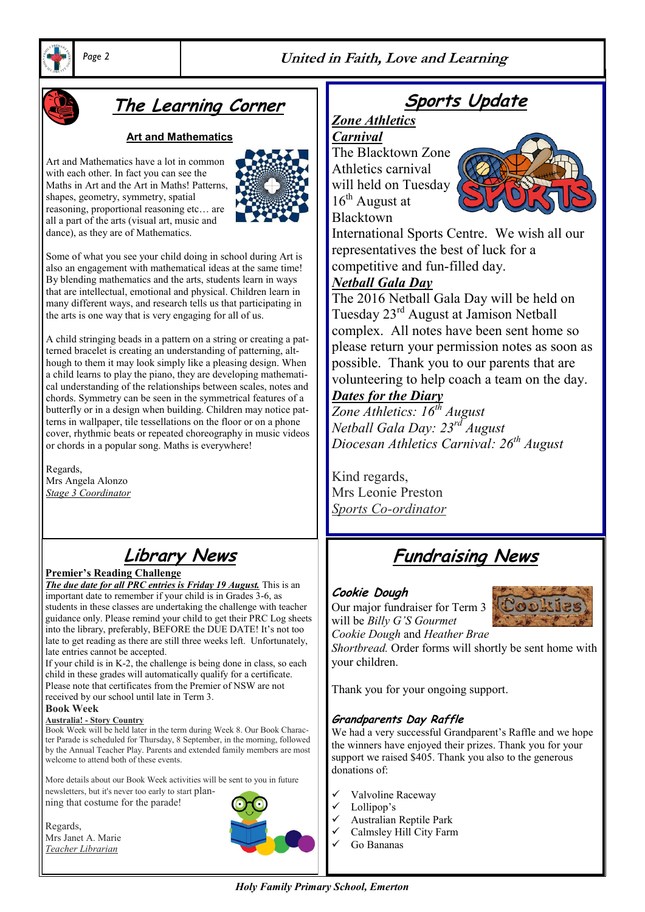



# **The Learning Corner**

### **Art and Mathematics**

Art and Mathematics have a lot in common with each other. In fact you can see the Maths in Art and the Art in Maths! Patterns, shapes, geometry, symmetry, spatial reasoning, proportional reasoning etc… are all a part of the arts (visual art, music and dance), as they are of Mathematics.



Some of what you see your child doing in school during Art is also an engagement with mathematical ideas at the same time! By blending mathematics and the arts, students learn in ways that are intellectual, emotional and physical. Children learn in many different ways, and research tells us that participating in the arts is one way that is very engaging for all of us.

A child stringing beads in a pattern on a string or creating a patterned bracelet is creating an understanding of patterning, although to them it may look simply like a pleasing design. When a child learns to play the piano, they are developing mathematical understanding of the relationships between scales, notes and chords. Symmetry can be seen in the symmetrical features of a butterfly or in a design when building. Children may notice patterns in wallpaper, tile tessellations on the floor or on a phone cover, rhythmic beats or repeated choreography in music videos or chords in a popular song. Maths is everywhere!

Regards, Mrs Angela Alonzo *Stage 3 Coordinator*

# **Library News**

### **Premier's Reading Challenge**

*The due date for all PRC entries is Friday 19 August.* This is an important date to remember if your child is in Grades 3-6, as students in these classes are undertaking the challenge with teacher guidance only. Please remind your child to get their PRC Log sheets into the library, preferably, BEFORE the DUE DATE! It's not too late to get reading as there are still three weeks left. Unfortunately, late entries cannot be accepted.

If your child is in K-2, the challenge is being done in class, so each child in these grades will automatically qualify for a certificate. Please note that certificates from the Premier of NSW are not received by our school until late in Term 3.

#### **Book Week**

#### **Australia! - Story Country**

Book Week will be held later in the term during Week 8. Our Book Character Parade is scheduled for Thursday, 8 September, in the morning, followed by the Annual Teacher Play. Parents and extended family members are most welcome to attend both of these events.

More details about our Book Week activities will be sent to you in future newsletters, but it's never too early to start planning that costume for the parade!

Regards, Mrs Janet A. Marie *Teacher Librarian*



# **Sports Update**

## *Zone Athletics*

*Carnival* The Blacktown Zone Athletics carnival will held on Tuesday  $16<sup>th</sup>$  August at Blacktown



International Sports Centre. We wish all our representatives the best of luck for a competitive and fun-filled day.

### *Netball Gala Day*

The 2016 Netball Gala Day will be held on Tuesday 23rd August at Jamison Netball complex. All notes have been sent home so please return your permission notes as soon as possible. Thank you to our parents that are volunteering to help coach a team on the day.

### *Dates for the Diary*

*Zone Athletics: 16th August Netball Gala Day: 23rd August Diocesan Athletics Carnival: 26th August*

Kind regards, Mrs Leonie Preston *Sports Co-ordinator*

# **Fundraising News**

### **Cookie Dough**

Our major fundraiser for Term 3 will be *Billy G'S Gourmet Cookie Dough* and *Heather Brae* 



*Shortbread.* Order forms will shortly be sent home with your children.

Thank you for your ongoing support.

### **Grandparents Day Raffle**

We had a very successful Grandparent's Raffle and we hope the winners have enjoyed their prizes. Thank you for your support we raised \$405. Thank you also to the generous donations of:

- Valvoline Raceway
- Lollipop's
- $\checkmark$  Australian Reptile Park
- Calmsley Hill City Farm
- Go Bananas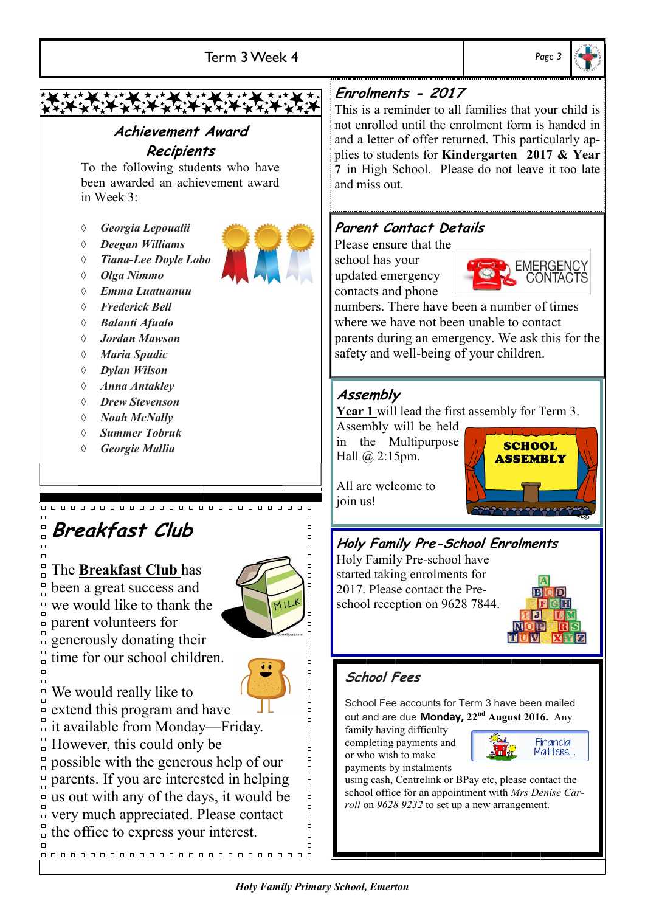

using cash, Centrelink or BPay etc, please contact the school office for an appointment with *Mrs Denise Carroll* on *9628 9232* to set up a new arrangement.

 $\Box$ 

us out with any of the days, it would be very much appreciated. Please contact

the office to express your interest.